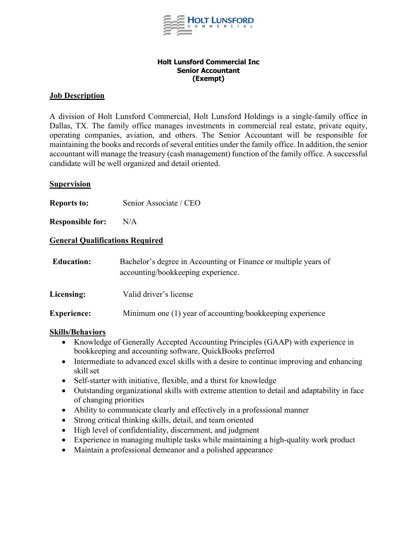

#### **Holt Lunsford Commercial Inc Senior Accountant (Exempt)**

# **Job Description**

A division of Holt Lunsford Commercial, Holt Lunsford Holdings is a single-family office in Dallas, TX. The family office manages investments in commercial real estate, private equity, operating companies, aviation, and others. The Senior Accountant will be responsible for maintaining the books and records of several entities under the family office. In addition, the senior accountant will manage the treasury (cash management) function of the family office. A successful candidate will be well organized and detail oriented.

### **Supervision**

**Reports to:** Senior Associate / CEO

**Responsible for:** N/A

# **General Qualifications Required**

| <b>Education:</b>  | Bachelor's degree in Accounting or Finance or multiple years of<br>accounting/bookkeeping experience. |
|--------------------|-------------------------------------------------------------------------------------------------------|
| Licensing:         | Valid driver's license                                                                                |
| <b>Experience:</b> | Minimum one (1) year of accounting/bookkeeping experience                                             |

### **Skills/Behaviors**

- Knowledge of Generally Accepted Accounting Principles (GAAP) with experience in bookkeeping and accounting software, QuickBooks preferred
- Intermediate to advanced excel skills with a desire to continue improving and enhancing skill set
- Self-starter with initiative, flexible, and a thirst for knowledge
- Outstanding organizational skills with extreme attention to detail and adaptability in face of changing priorities
- Ability to communicate clearly and effectively in a professional manner
- Strong critical thinking skills, detail, and team oriented
- High level of confidentiality, discernment, and judgment
- Experience in managing multiple tasks while maintaining a high-quality work product
- Maintain a professional demeanor and a polished appearance